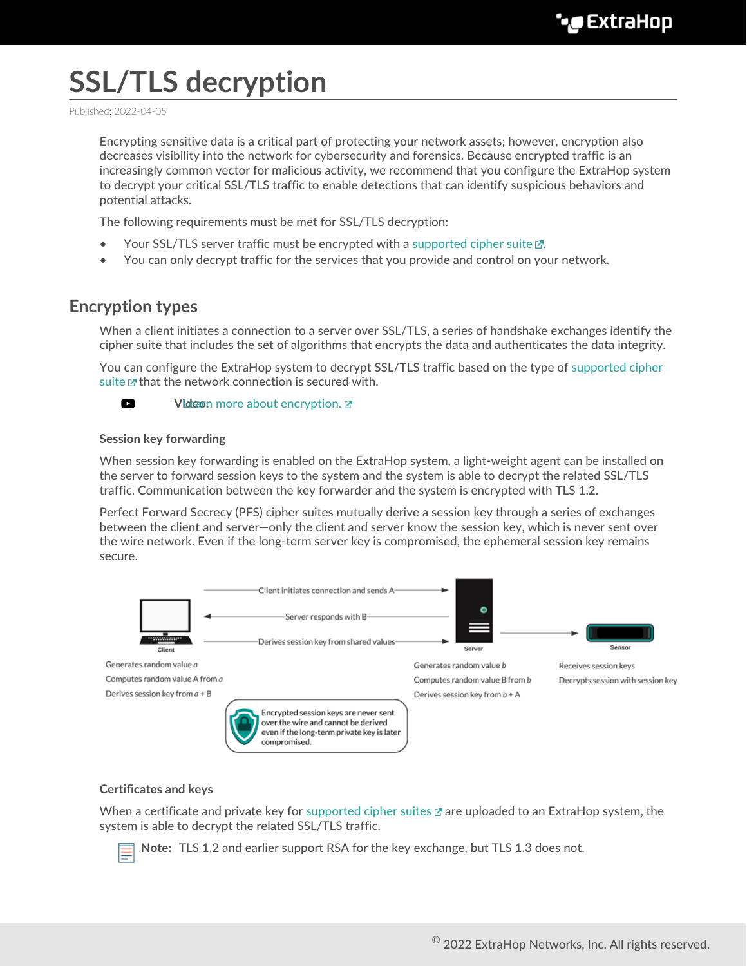# **SSL/TLS decryption**

Published: 2022-04-05

Encrypting sensitive data is a critical part of protecting your network assets; however, encryption also decreases visibility into the network for cybersecurity and forensics. Because encrypted traffic is an increasingly common vector for malicious activity, we recommend that you configure the ExtraHop system to decrypt your critical SSL/TLS traffic to enable detections that can identify suspicious behaviors and potential attacks.

The following requirements must be met for SSL/TLS decryption:

- Your SSL/TLS server traffic must be encrypted with a [supported cipher suite](https://docs.extrahop.com/8.9/pfs-install/#supported-ssl/tls-cipher-suites)  $\mathbb{E}$ .
- You can only decrypt traffic for the services that you provide and control on your network.

# **Encryption types**

When a client initiates a connection to a server over SSL/TLS, a series of handshake exchanges identify the cipher suite that includes the set of algorithms that encrypts the data and authenticates the data integrity.

You can configure the ExtraHop system to decrypt SSL/TLS traffic based on the type of [supported cipher](https://docs.extrahop.com/8.9/pfs-install/#supported-ssl/tls-cipher-suites) [suite](https://docs.extrahop.com/8.9/pfs-install/#supported-ssl/tls-cipher-suites)  $\mathbb Z$  that the network connection is secured with.



## **Session key forwarding**

When session key forwarding is enabled on the ExtraHop system, a light-weight agent can be installed on the server to forward session keys to the system and the system is able to decrypt the related SSL/TLS traffic. Communication between the key forwarder and the system is encrypted with TLS 1.2.

Perfect Forward Secrecy (PFS) cipher suites mutually derive a session key through a series of exchanges between the client and server—only the client and server know the session key, which is never sent over the wire network. Even if the long-term server key is compromised, the ephemeral session key remains secure.



## **Certificates and keys**

When a certificate and private key for [supported cipher suites](https://docs.extrahop.com/8.9/pfs-install/#supported-ssl/tls-cipher-suites)  $\mathbb E$  are uploaded to an ExtraHop system, the system is able to decrypt the related SSL/TLS traffic.

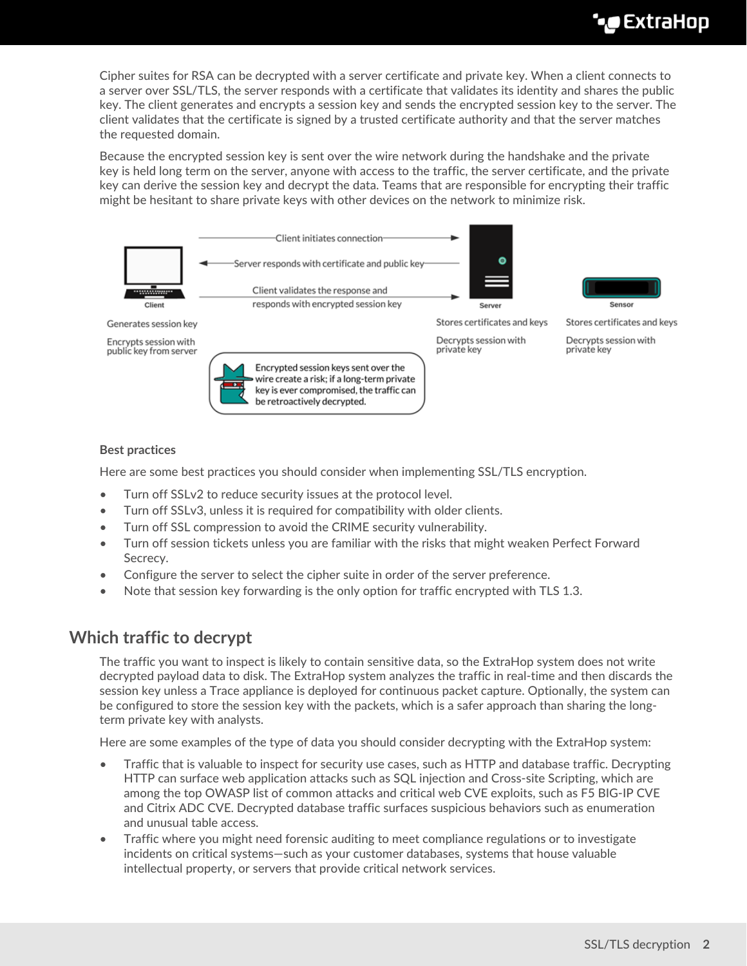Cipher suites for RSA can be decrypted with a server certificate and private key. When a client connects to a server over SSL/TLS, the server responds with a certificate that validates its identity and shares the public key. The client generates and encrypts a session key and sends the encrypted session key to the server. The client validates that the certificate is signed by a trusted certificate authority and that the server matches the requested domain.

Because the encrypted session key is sent over the wire network during the handshake and the private key is held long term on the server, anyone with access to the traffic, the server certificate, and the private key can derive the session key and decrypt the data. Teams that are responsible for encrypting their traffic might be hesitant to share private keys with other devices on the network to minimize risk.



## **Best practices**

Here are some best practices you should consider when implementing SSL/TLS encryption.

- Turn off SSLv2 to reduce security issues at the protocol level.
- Turn off SSLv3, unless it is required for compatibility with older clients.
- Turn off SSL compression to avoid the CRIME security vulnerability.
- Turn off session tickets unless you are familiar with the risks that might weaken Perfect Forward Secrecy.
- Configure the server to select the cipher suite in order of the server preference.
- Note that session key forwarding is the only option for traffic encrypted with TLS 1.3.

# **Which traffic to decrypt**

The traffic you want to inspect is likely to contain sensitive data, so the ExtraHop system does not write decrypted payload data to disk. The ExtraHop system analyzes the traffic in real-time and then discards the session key unless a Trace appliance is deployed for continuous packet capture. Optionally, the system can be configured to store the session key with the packets, which is a safer approach than sharing the longterm private key with analysts.

Here are some examples of the type of data you should consider decrypting with the ExtraHop system:

- Traffic that is valuable to inspect for security use cases, such as HTTP and database traffic. Decrypting HTTP can surface web application attacks such as SQL injection and Cross-site Scripting, which are among the top OWASP list of common attacks and critical web CVE exploits, such as F5 BIG-IP CVE and Citrix ADC CVE. Decrypted database traffic surfaces suspicious behaviors such as enumeration and unusual table access.
- Traffic where you might need forensic auditing to meet compliance regulations or to investigate incidents on critical systems—such as your customer databases, systems that house valuable intellectual property, or servers that provide critical network services.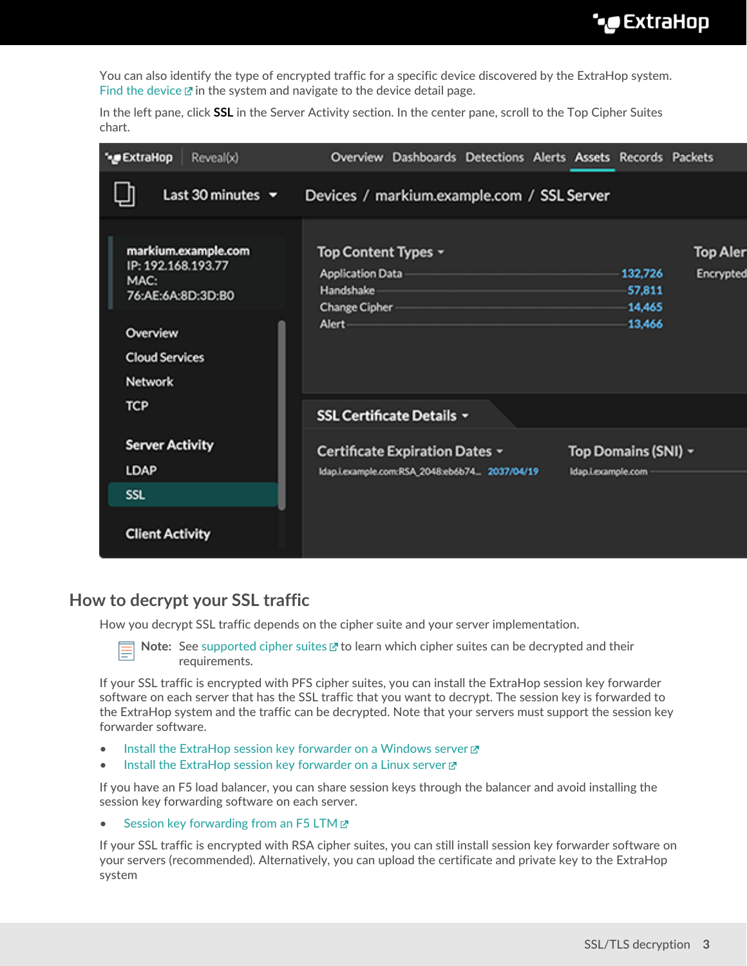You can also identify the type of encrypted traffic for a specific device discovered by the ExtraHop system. [Find the device](https://docs.extrahop.com/8.9/find-device)  $\mathbb Z$  in the system and navigate to the device detail page.

In the left pane, click **SSL** in the Server Activity section. In the center pane, scroll to the Top Cipher Suites chart.

| * ExtraHop<br>Reveal(x)                                                                                                | Overview Dashboards Detections Alerts Assets Records Packets                                          |                                                                       |
|------------------------------------------------------------------------------------------------------------------------|-------------------------------------------------------------------------------------------------------|-----------------------------------------------------------------------|
| Last 30 minutes $\sim$                                                                                                 | Devices / markium.example.com / SSL Server                                                            |                                                                       |
| markium.example.com<br>IP: 192.168.193.77<br>MAC:<br>76:AE:6A:8D:3D:80<br>Overview<br><b>Cloud Services</b><br>Network | Top Content Types ~<br><b>Application Data</b><br>Handshake<br><b>Change Cipher</b><br>Alert-         | <b>Top Aler</b><br>132,726<br>Encrypted<br>57,811<br>14,465<br>13,466 |
| <b>TCP</b>                                                                                                             | <b>SSL Certificate Details *</b>                                                                      |                                                                       |
| <b>Server Activity</b><br><b>LDAP</b>                                                                                  | Certificate Expiration Dates ~<br>Idap.i.example.com:RSA_2048:eb6b74 2037/04/19<br>Idap.i.example.com | Top Domains (SNI) ~                                                   |
| <b>SSL</b><br><b>Client Activity</b>                                                                                   |                                                                                                       |                                                                       |

# **How to decrypt your SSL traffic**

How you decrypt SSL traffic depends on the cipher suite and your server implementation.

Note: See [supported cipher suites](https://docs.extrahop.com/8.9/pfs-install/#supported-ssl/tls-cipher-suites) **E** to learn which cipher suites can be decrypted and their requirements.

If your SSL traffic is encrypted with PFS cipher suites, you can install the ExtraHop session key forwarder software on each server that has the SSL traffic that you want to decrypt. The session key is forwarded to the ExtraHop system and the traffic can be decrypted. Note that your servers must support the session key forwarder software.

- [Install the ExtraHop session key forwarder on a Windows server](https://docs.extrahop.com/8.9/pfs-install) L
- [Install the ExtraHop session key forwarder on a Linux server](https://docs.extrahop.com/8.9/pfs-linux-install) E

If you have an F5 load balancer, you can share session keys through the balancer and avoid installing the session key forwarding software on each server.

[Session key forwarding from an F5 LTM](https://docs.extrahop.com/8.9/customers/deploy-eda-f5ltm) E

If your SSL traffic is encrypted with RSA cipher suites, you can still install session key forwarder software on your servers (recommended). Alternatively, you can upload the certificate and private key to the ExtraHop system